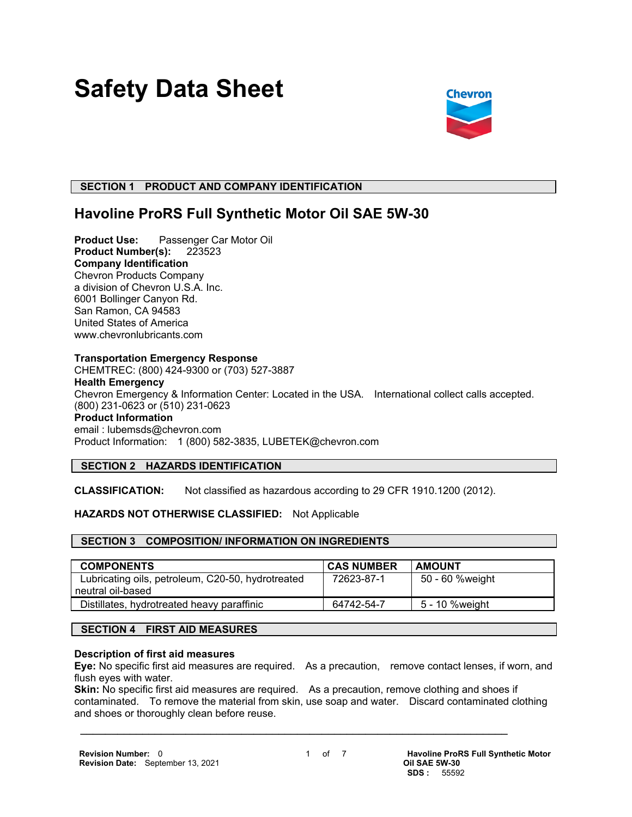# **Safety Data Sheet**



#### **SECTION 1 PRODUCT AND COMPANY IDENTIFICATION**

## **Havoline ProRS Full Synthetic Motor Oil SAE 5W-30**

**Product Use:** Passenger Car Motor Oil **Product Number(s):** 223523 **Company Identification** Chevron Products Company a division of Chevron U.S.A. Inc. 6001 Bollinger Canyon Rd. San Ramon, CA 94583 United States of America www.chevronlubricants.com

#### **Transportation Emergency Response**

CHEMTREC: (800) 424-9300 or (703) 527-3887 **Health Emergency** Chevron Emergency & Information Center: Located in the USA. International collect calls accepted. (800) 231-0623 or (510) 231-0623 **Product Information** email : lubemsds@chevron.com Product Information: 1 (800) 582-3835, LUBETEK@chevron.com

#### **SECTION 2 HAZARDS IDENTIFICATION**

**CLASSIFICATION:** Not classified as hazardous according to 29 CFR 1910.1200 (2012).

#### **HAZARDS NOT OTHERWISE CLASSIFIED:** Not Applicable

#### **SECTION 3 COMPOSITION/ INFORMATION ON INGREDIENTS**

| <b>COMPONENTS</b>                                 | <b>CAS NUMBER</b> | <b>AMOUNT</b>   |
|---------------------------------------------------|-------------------|-----------------|
| Lubricating oils, petroleum, C20-50, hydrotreated | 72623-87-1        | 50 - 60 %weight |
| neutral oil-based                                 |                   |                 |
| Distillates, hydrotreated heavy paraffinic        | 64742-54-7        | 5 - 10 %weight  |

#### **SECTION 4 FIRST AID MEASURES**

#### **Description of first aid measures**

**Eye:** No specific first aid measures are required. As a precaution, remove contact lenses, if worn, and flush eyes with water.

**Skin:** No specific first aid measures are required. As a precaution, remove clothing and shoes if contaminated. To remove the material from skin, use soap and water. Discard contaminated clothing and shoes or thoroughly clean before reuse.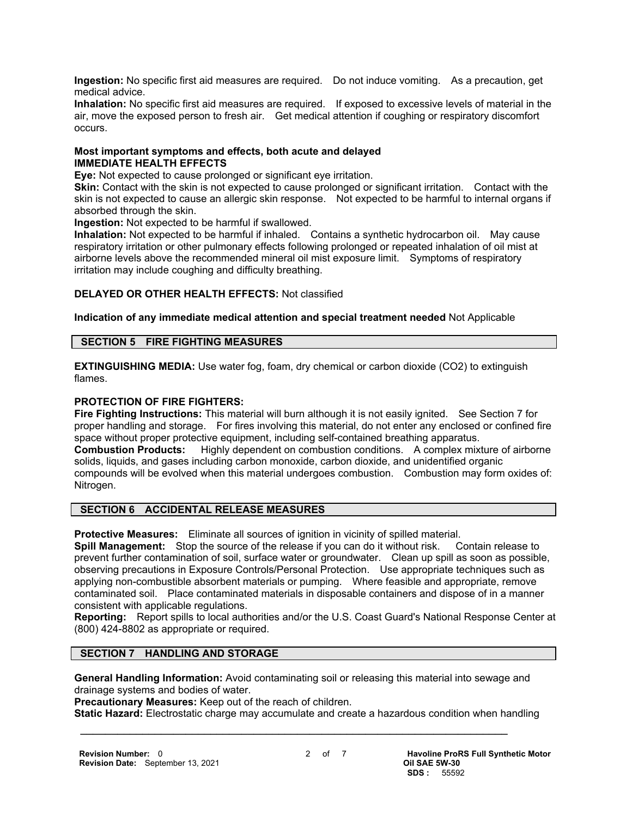**Ingestion:** No specific first aid measures are required. Do not induce vomiting. As a precaution, get medical advice.

**Inhalation:** No specific first aid measures are required. If exposed to excessive levels of material in the air, move the exposed person to fresh air. Get medical attention if coughing or respiratory discomfort occurs.

#### **Most important symptoms and effects, both acute and delayed IMMEDIATE HEALTH EFFECTS**

**Eye:** Not expected to cause prolonged or significant eye irritation.

**Skin:** Contact with the skin is not expected to cause prolonged or significant irritation. Contact with the skin is not expected to cause an allergic skin response. Not expected to be harmful to internal organs if absorbed through the skin.

**Ingestion:** Not expected to be harmful if swallowed.

**Inhalation:** Not expected to be harmful if inhaled. Contains a synthetic hydrocarbon oil. May cause respiratory irritation or other pulmonary effects following prolonged or repeated inhalation of oil mist at airborne levels above the recommended mineral oil mist exposure limit. Symptoms of respiratory irritation may include coughing and difficulty breathing.

#### **DELAYED OR OTHER HEALTH EFFECTS:** Not classified

#### **Indication of any immediate medical attention and special treatment needed** Not Applicable

#### **SECTION 5 FIRE FIGHTING MEASURES**

**EXTINGUISHING MEDIA:** Use water fog, foam, dry chemical or carbon dioxide (CO2) to extinguish flames.

#### **PROTECTION OF FIRE FIGHTERS:**

**Fire Fighting Instructions:** This material will burn although it is not easily ignited. See Section 7 for proper handling and storage. For fires involving this material, do not enter any enclosed or confined fire space without proper protective equipment, including self-contained breathing apparatus. **Combustion Products:** Highly dependent on combustion conditions. A complex mixture of airborne solids, liquids, and gases including carbon monoxide, carbon dioxide, and unidentified organic compounds will be evolved when this material undergoes combustion. Combustion may form oxides of: Nitrogen.

#### **SECTION 6 ACCIDENTAL RELEASE MEASURES**

**Protective Measures:** Eliminate all sources of ignition in vicinity of spilled material.

**Spill Management:** Stop the source of the release if you can do it without risk. Contain release to prevent further contamination of soil, surface water or groundwater. Clean up spill as soon as possible, observing precautions in Exposure Controls/Personal Protection. Use appropriate techniques such as applying non-combustible absorbent materials or pumping. Where feasible and appropriate, remove contaminated soil. Place contaminated materials in disposable containers and dispose of in a manner consistent with applicable regulations.

**Reporting:** Report spills to local authorities and/or the U.S. Coast Guard's National Response Center at (800) 424-8802 as appropriate or required.

#### **SECTION 7 HANDLING AND STORAGE**

**General Handling Information:** Avoid contaminating soil or releasing this material into sewage and drainage systems and bodies of water.

**Precautionary Measures:** Keep out of the reach of children.

**Static Hazard:** Electrostatic charge may accumulate and create a hazardous condition when handling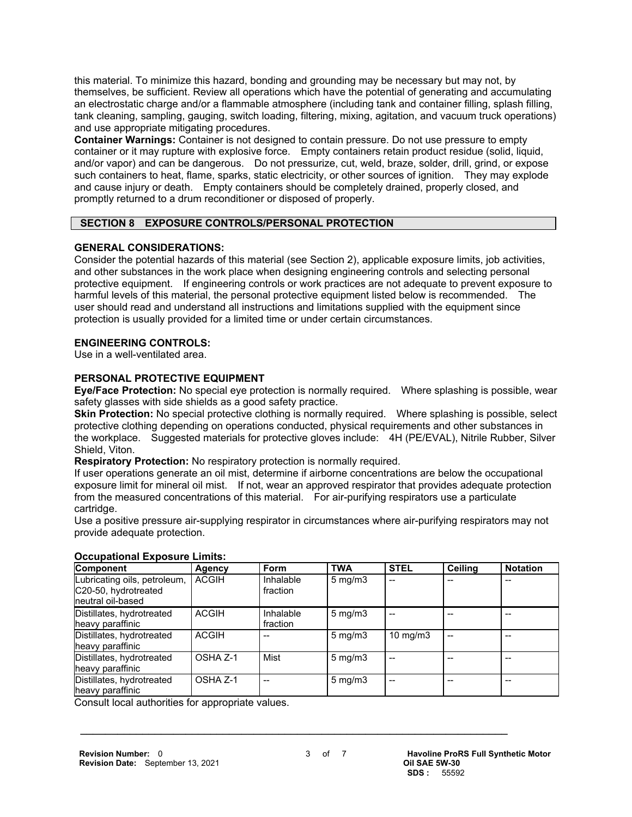this material. To minimize this hazard, bonding and grounding may be necessary but may not, by themselves, be sufficient. Review all operations which have the potential of generating and accumulating an electrostatic charge and/or a flammable atmosphere (including tank and container filling, splash filling, tank cleaning, sampling, gauging, switch loading, filtering, mixing, agitation, and vacuum truck operations) and use appropriate mitigating procedures.

**Container Warnings:** Container is not designed to contain pressure. Do not use pressure to empty container or it may rupture with explosive force. Empty containers retain product residue (solid, liquid, and/or vapor) and can be dangerous. Do not pressurize, cut, weld, braze, solder, drill, grind, or expose such containers to heat, flame, sparks, static electricity, or other sources of ignition. They may explode and cause injury or death. Empty containers should be completely drained, properly closed, and promptly returned to a drum reconditioner or disposed of properly.

#### **SECTION 8 EXPOSURE CONTROLS/PERSONAL PROTECTION**

#### **GENERAL CONSIDERATIONS:**

Consider the potential hazards of this material (see Section 2), applicable exposure limits, job activities, and other substances in the work place when designing engineering controls and selecting personal protective equipment. If engineering controls or work practices are not adequate to prevent exposure to harmful levels of this material, the personal protective equipment listed below is recommended. The user should read and understand all instructions and limitations supplied with the equipment since protection is usually provided for a limited time or under certain circumstances.

#### **ENGINEERING CONTROLS:**

Use in a well-ventilated area.

#### **PERSONAL PROTECTIVE EQUIPMENT**

**Eye/Face Protection:** No special eye protection is normally required. Where splashing is possible, wear safety glasses with side shields as a good safety practice.

**Skin Protection:** No special protective clothing is normally required. Where splashing is possible, select protective clothing depending on operations conducted, physical requirements and other substances in the workplace. Suggested materials for protective gloves include: 4H (PE/EVAL), Nitrile Rubber, Silver Shield, Viton.

**Respiratory Protection:** No respiratory protection is normally required.

If user operations generate an oil mist, determine if airborne concentrations are below the occupational exposure limit for mineral oil mist. If not, wear an approved respirator that provides adequate protection from the measured concentrations of this material. For air-purifying respirators use a particulate cartridge.

Use a positive pressure air-supplying respirator in circumstances where air-purifying respirators may not provide adequate protection.

| Component                                                                  | Agency       | <b>Form</b>           | <b>TWA</b>       | <b>STEL</b>       | Ceiling | <b>Notation</b> |
|----------------------------------------------------------------------------|--------------|-----------------------|------------------|-------------------|---------|-----------------|
| Lubricating oils, petroleum,<br>C20-50, hydrotreated<br>Ineutral oil-based | <b>ACGIH</b> | Inhalable<br>fraction | $5 \text{ mg/m}$ | --                |         |                 |
| Distillates, hydrotreated<br>heavy paraffinic                              | <b>ACGIH</b> | Inhalable<br>fraction | $5 \text{ mg/m}$ |                   |         |                 |
| Distillates, hydrotreated<br>heavy paraffinic                              | <b>ACGIH</b> |                       | $5 \text{ mg/m}$ | $10 \text{ mg/m}$ |         |                 |
| Distillates, hydrotreated<br>heavy paraffinic                              | OSHA Z-1     | Mist                  | $5 \text{ mg/m}$ |                   |         |                 |
| Distillates, hydrotreated<br>heavy paraffinic                              | OSHA Z-1     | --                    | $5 \text{ mg/m}$ |                   |         |                 |

#### **Occupational Exposure Limits:**

Consult local authorities for appropriate values.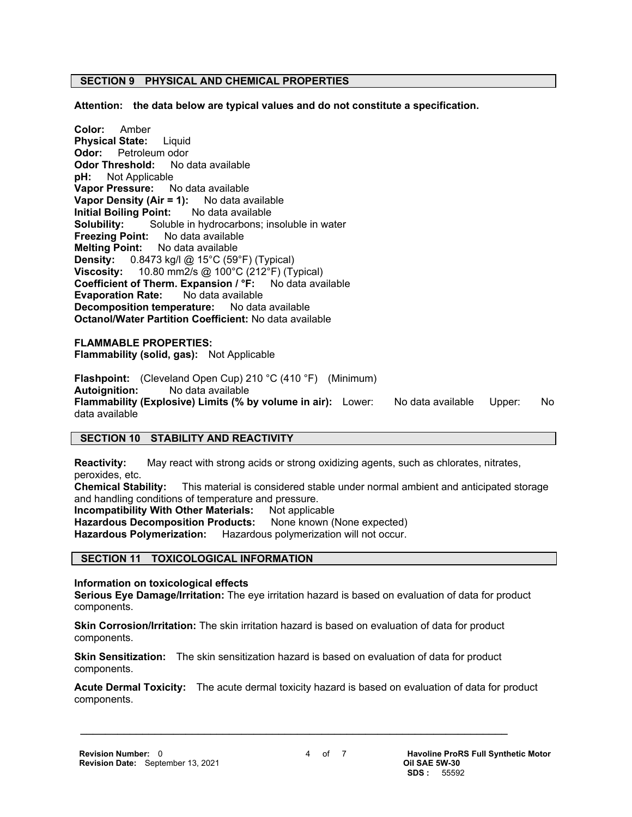#### **SECTION 9 PHYSICAL AND CHEMICAL PROPERTIES**

**Attention: the data below are typical values and do not constitute a specification.**

**Color:** Amber **Physical State:** Liquid **Odor:** Petroleum odor **Odor Threshold:** No data available **pH:** Not Applicable **Vapor Pressure:** No data available **Vapor Density (Air = 1):** No data available **Initial Boiling Point:** No data available **Solubility:** Soluble in hydrocarbons; insoluble in water **Freezing Point:** No data available **Melting Point:** No data available **Density:** 0.8473 kg/l @ 15°C (59°F) (Typical) **Viscosity:** 10.80 mm2/s @ 100°C (212°F) (Typical) **Coefficient of Therm. Expansion / °F:** No data available **Evaporation Rate:** No data available **Decomposition temperature:** No data available **Octanol/Water Partition Coefficient:** No data available

**FLAMMABLE PROPERTIES: Flammability (solid, gas):** Not Applicable

**Flashpoint:** (Cleveland Open Cup) 210 °C (410 °F) (Minimum) **Autoignition:** No data available **Flammability (Explosive) Limits (% by volume in air):** Lower: No data available Upper: No data available

#### **SECTION 10 STABILITY AND REACTIVITY**

**Reactivity:** May react with strong acids or strong oxidizing agents, such as chlorates, nitrates, peroxides, etc.

**Chemical Stability:** This material is considered stable under normal ambient and anticipated storage and handling conditions of temperature and pressure.

**Incompatibility With Other Materials: Not applicable** 

Hazardous Decomposition Products: None known (None expected)

**Hazardous Polymerization:** Hazardous polymerization will not occur.

#### **SECTION 11 TOXICOLOGICAL INFORMATION**

**Information on toxicological effects**

**Serious Eye Damage/Irritation:** The eye irritation hazard is based on evaluation of data for product components.

**Skin Corrosion/Irritation:** The skin irritation hazard is based on evaluation of data for product components.

**Skin Sensitization:** The skin sensitization hazard is based on evaluation of data for product components.

 $\mathcal{L} = \{ \mathcal{L} \mathcal{L} \mathcal{L} \mathcal{L} \mathcal{L} \mathcal{L} \mathcal{L} \mathcal{L} \mathcal{L} \mathcal{L} \mathcal{L} \mathcal{L} \mathcal{L} \mathcal{L} \mathcal{L} \mathcal{L} \mathcal{L} \mathcal{L} \mathcal{L} \mathcal{L} \mathcal{L} \mathcal{L} \mathcal{L} \mathcal{L} \mathcal{L} \mathcal{L} \mathcal{L} \mathcal{L} \mathcal{L} \mathcal{L} \mathcal{L} \mathcal{L} \mathcal{L} \mathcal{L} \mathcal{L} \$ 

**Acute Dermal Toxicity:** The acute dermal toxicity hazard is based on evaluation of data for product components.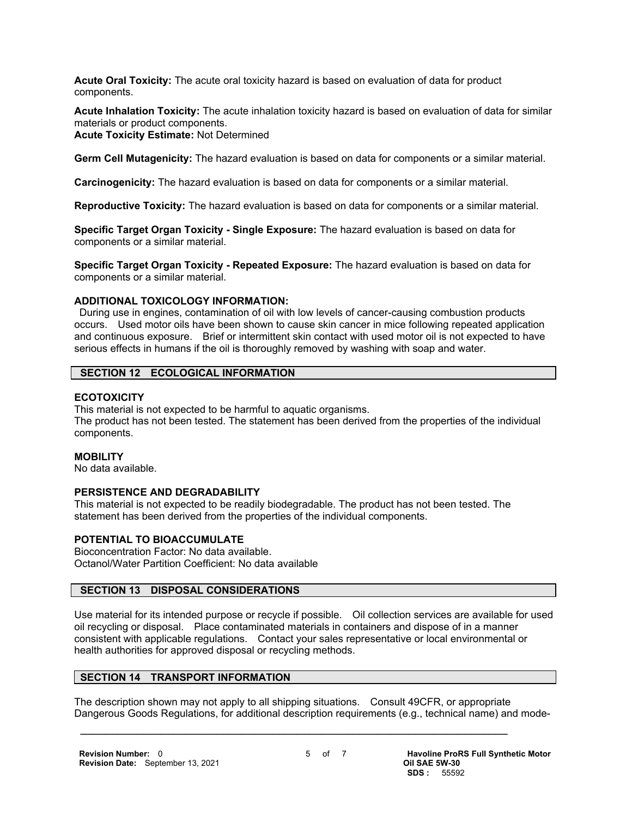**Acute Oral Toxicity:** The acute oral toxicity hazard is based on evaluation of data for product components.

**Acute Inhalation Toxicity:** The acute inhalation toxicity hazard is based on evaluation of data for similar materials or product components.

#### **Acute Toxicity Estimate:** Not Determined

**Germ Cell Mutagenicity:** The hazard evaluation is based on data for components or a similar material.

**Carcinogenicity:** The hazard evaluation is based on data for components or a similar material.

**Reproductive Toxicity:** The hazard evaluation is based on data for components or a similar material.

**Specific Target Organ Toxicity - Single Exposure:** The hazard evaluation is based on data for components or a similar material.

**Specific Target Organ Toxicity - Repeated Exposure:** The hazard evaluation is based on data for components or a similar material.

#### **ADDITIONAL TOXICOLOGY INFORMATION:**

 During use in engines, contamination of oil with low levels of cancer-causing combustion products occurs. Used motor oils have been shown to cause skin cancer in mice following repeated application and continuous exposure. Brief or intermittent skin contact with used motor oil is not expected to have serious effects in humans if the oil is thoroughly removed by washing with soap and water.

#### **SECTION 12 ECOLOGICAL INFORMATION**

#### **ECOTOXICITY**

This material is not expected to be harmful to aquatic organisms. The product has not been tested. The statement has been derived from the properties of the individual components.

#### **MOBILITY**

No data available.

#### **PERSISTENCE AND DEGRADABILITY**

This material is not expected to be readily biodegradable. The product has not been tested. The statement has been derived from the properties of the individual components.

#### **POTENTIAL TO BIOACCUMULATE**

Bioconcentration Factor: No data available. Octanol/Water Partition Coefficient: No data available

#### **SECTION 13 DISPOSAL CONSIDERATIONS**

Use material for its intended purpose or recycle if possible. Oil collection services are available for used oil recycling or disposal. Place contaminated materials in containers and dispose of in a manner consistent with applicable regulations. Contact your sales representative or local environmental or health authorities for approved disposal or recycling methods.

#### **SECTION 14 TRANSPORT INFORMATION**

The description shown may not apply to all shipping situations. Consult 49CFR, or appropriate Dangerous Goods Regulations, for additional description requirements (e.g., technical name) and mode-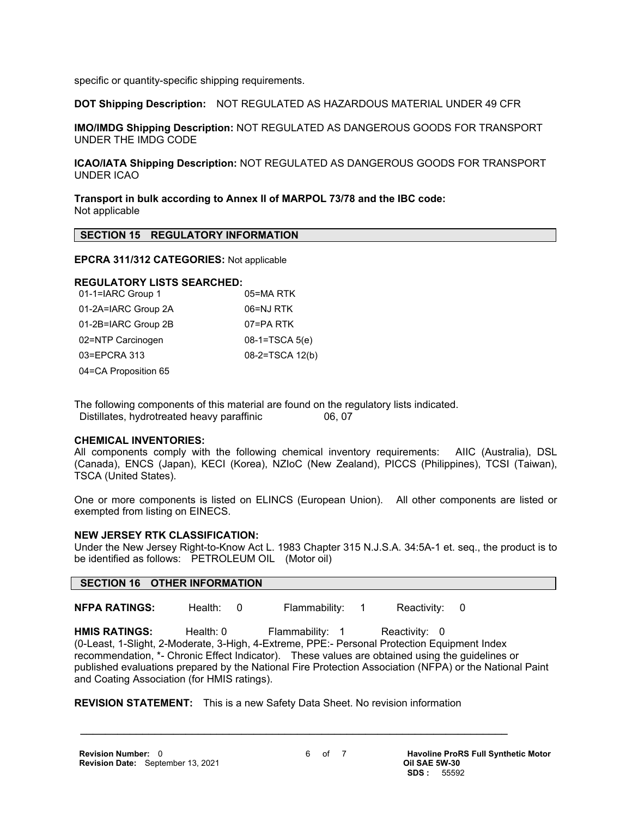specific or quantity-specific shipping requirements.

**DOT Shipping Description:** NOT REGULATED AS HAZARDOUS MATERIAL UNDER 49 CFR

**IMO/IMDG Shipping Description:** NOT REGULATED AS DANGEROUS GOODS FOR TRANSPORT UNDER THE IMDG CODE

**ICAO/IATA Shipping Description:** NOT REGULATED AS DANGEROUS GOODS FOR TRANSPORT UNDER ICAO

**Transport in bulk according to Annex II of MARPOL 73/78 and the IBC code:** Not applicable

#### **SECTION 15 REGULATORY INFORMATION**

#### **EPCRA 311/312 CATEGORIES:** Not applicable

### **REGULATORY LISTS SEARCHED:**

| 01-1=IARC Group 1    | 05=MA RTK        |
|----------------------|------------------|
| 01-2A=IARC Group 2A  | 06=NJ RTK        |
| 01-2B=IARC Group 2B  | 07=PA RTK        |
| 02=NTP Carcinogen    | $08-1=TSCA 5(e)$ |
| 03=EPCRA 313         | 08-2=TSCA 12(b)  |
| 04=CA Proposition 65 |                  |

The following components of this material are found on the regulatory lists indicated. Distillates, hydrotreated heavy paraffinic 06, 07

#### **CHEMICAL INVENTORIES:**

All components comply with the following chemical inventory requirements: AIIC (Australia), DSL (Canada), ENCS (Japan), KECI (Korea), NZIoC (New Zealand), PICCS (Philippines), TCSI (Taiwan), TSCA (United States).

One or more components is listed on ELINCS (European Union). All other components are listed or exempted from listing on EINECS.

#### **NEW JERSEY RTK CLASSIFICATION:**

Under the New Jersey Right-to-Know Act L. 1983 Chapter 315 N.J.S.A. 34:5A-1 et. seq., the product is to be identified as follows: PETROLEUM OIL (Motor oil)

#### **SECTION 16 OTHER INFORMATION**

**NFPA RATINGS:** Health: 0 Flammability: 1 Reactivity: 0

HMIS RATINGS: Health: 0 Flammability: 1 Reactivity: 0 (0-Least, 1-Slight, 2-Moderate, 3-High, 4-Extreme, PPE:- Personal Protection Equipment Index recommendation, \*- Chronic Effect Indicator). These values are obtained using the guidelines or published evaluations prepared by the National Fire Protection Association (NFPA) or the National Paint and Coating Association (for HMIS ratings).

**REVISION STATEMENT:** This is a new Safety Data Sheet. No revision information